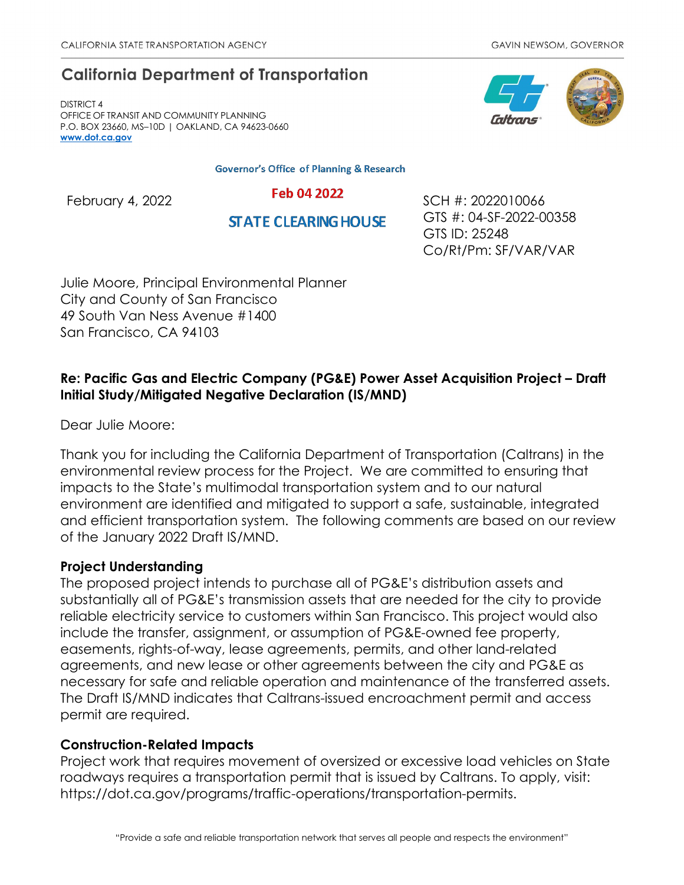# **California Department of Transportation**

DISTRICT 4 OFFICE OF TRANSIT AND COMMUNITY PLANNING P.O. BOX 23660, MS–10D | OAKLAND, CA 94623-0660 **[www.dot.ca.gov](http://www.dot.ca.gov/)**

**Governor's Office of Planning & Research** 

**STATE CLEARING HOUSE** 

Feb 04 2022 SCH #: 2022010066 GTS #: 04-SF-2022-00358 GTS ID: 25248 Co/Rt/Pm: SF/VAR/VAR

Julie Moore, Principal Environmental Planner City and County of San Francisco 49 South Van Ness Avenue #1400 San Francisco, CA 94103

## **Re: Pacific Gas and Electric Company (PG&E) Power Asset Acquisition Project – Draft Initial Study/Mitigated Negative Declaration (IS/MND)**

Dear Julie Moore:

Thank you for including the California Department of Transportation (Caltrans) in the environmental review process for the Project. We are committed to ensuring that impacts to the State's multimodal transportation system and to our natural environment are identified and mitigated to support a safe, sustainable, integrated and efficient transportation system. The following comments are based on our review of the January 2022 Draft IS/MND.

### **Project Understanding**

The proposed project intends to purchase all of PG&E's distribution assets and substantially all of PG&E's transmission assets that are needed for the city to provide reliable electricity service to customers within San Francisco. This project would also include the transfer, assignment, or assumption of PG&E-owned fee property, easements, rights-of-way, lease agreements, permits, and other land-related agreements, and new lease or other agreements between the city and PG&E as necessary for safe and reliable operation and maintenance of the transferred assets. The Draft IS/MND indicates that Caltrans-issued encroachment permit and access permit are required.

### **Construction-Related Impacts**

Project work that requires movement of oversized or excessive load vehicles on State roadways requires a transportation permit that is issued by Caltrans. To apply, visit: https://dot.ca.gov/programs/traffic-operations/transportation-permits.

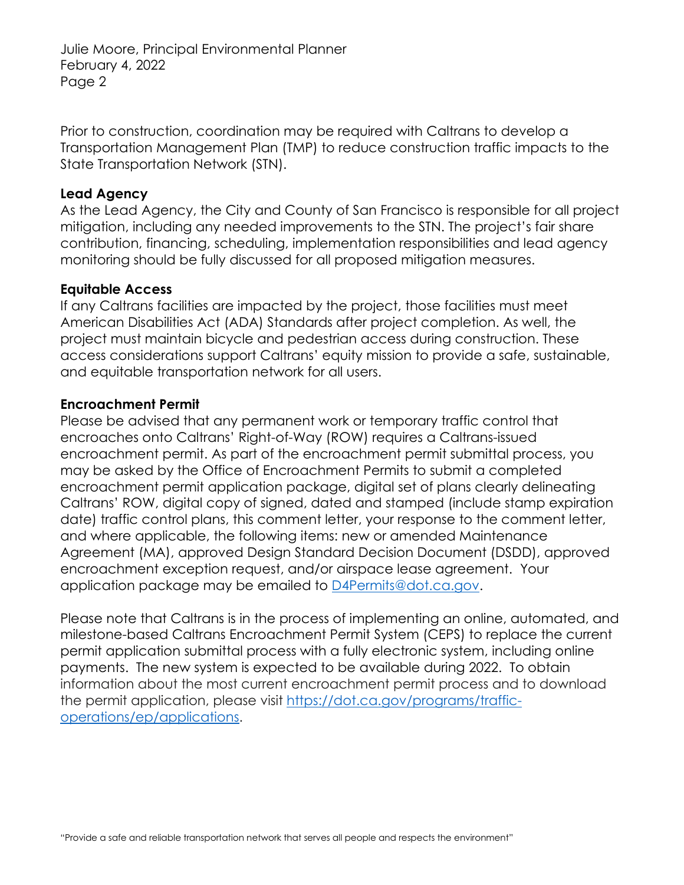Julie Moore, Principal Environmental Planner February 4, 2022 Page 2

Prior to construction, coordination may be required with Caltrans to develop a Transportation Management Plan (TMP) to reduce construction traffic impacts to the State Transportation Network (STN).

#### **Lead Agency**

As the Lead Agency, the City and County of San Francisco is responsible for all project mitigation, including any needed improvements to the STN. The project's fair share contribution, financing, scheduling, implementation responsibilities and lead agency monitoring should be fully discussed for all proposed mitigation measures.

#### **Equitable Access**

If any Caltrans facilities are impacted by the project, those facilities must meet American Disabilities Act (ADA) Standards after project completion. As well, the project must maintain bicycle and pedestrian access during construction. These access considerations support Caltrans' equity mission to provide a safe, sustainable, and equitable transportation network for all users.

#### **Encroachment Permit**

Please be advised that any permanent work or temporary traffic control that encroaches onto Caltrans' Right-of-Way (ROW) requires a Caltrans-issued encroachment permit. As part of the encroachment permit submittal process, you may be asked by the Office of Encroachment Permits to submit a completed encroachment permit application package, digital set of plans clearly delineating Caltrans' ROW, digital copy of signed, dated and stamped (include stamp expiration date) traffic control plans, this comment letter, your response to the comment letter, and where applicable, the following items: new or amended Maintenance Agreement (MA), approved Design Standard Decision Document (DSDD), approved encroachment exception request, and/or airspace lease agreement. Your application package may be emailed to [D4Permits@dot.ca.gov.](mailto:D4Permits@dot.ca.gov)

Please note that Caltrans is in the process of implementing an online, automated, and milestone-based Caltrans Encroachment Permit System (CEPS) to replace the current permit application submittal process with a fully electronic system, including online payments. The new system is expected to be available during 2022. To obtain information about the most current encroachment permit process and to download the permit application, please visit [https://dot.ca.gov/programs/traffic](https://dot.ca.gov/programs/traffic-operations/ep/applications)[operations/ep/applications.](https://dot.ca.gov/programs/traffic-operations/ep/applications)